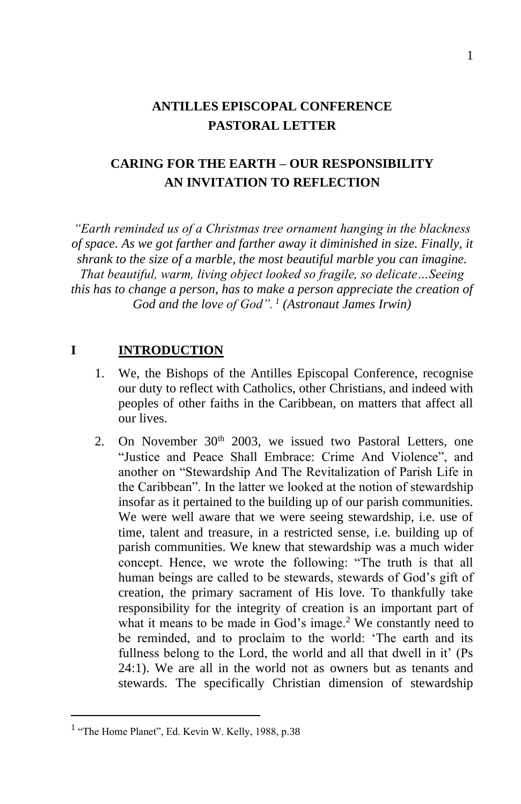# **ANTILLES EPISCOPAL CONFERENCE PASTORAL LETTER**

# **CARING FOR THE EARTH – OUR RESPONSIBILITY AN INVITATION TO REFLECTION**

*"Earth reminded us of a Christmas tree ornament hanging in the blackness of space. As we got farther and farther away it diminished in size. Finally, it shrank to the size of a marble, the most beautiful marble you can imagine. That beautiful, warm, living object looked so fragile, so delicate…Seeing this has to change a person, has to make a person appreciate the creation of God and the love of God". <sup>1</sup> (Astronaut James Irwin)*

## **I INTRODUCTION**

- 1. We, the Bishops of the Antilles Episcopal Conference, recognise our duty to reflect with Catholics, other Christians, and indeed with peoples of other faiths in the Caribbean, on matters that affect all our lives.
- 2. On November 30<sup>th</sup> 2003, we issued two Pastoral Letters, one "Justice and Peace Shall Embrace: Crime And Violence", and another on "Stewardship And The Revitalization of Parish Life in the Caribbean". In the latter we looked at the notion of stewardship insofar as it pertained to the building up of our parish communities. We were well aware that we were seeing stewardship, i.e. use of time, talent and treasure, in a restricted sense, i.e. building up of parish communities. We knew that stewardship was a much wider concept. Hence, we wrote the following: "The truth is that all human beings are called to be stewards, stewards of God's gift of creation, the primary sacrament of His love. To thankfully take responsibility for the integrity of creation is an important part of what it means to be made in God's image.<sup>2</sup> We constantly need to be reminded, and to proclaim to the world: 'The earth and its fullness belong to the Lord, the world and all that dwell in it' (Ps 24:1). We are all in the world not as owners but as tenants and stewards. The specifically Christian dimension of stewardship

<sup>&</sup>lt;sup>1</sup> "The Home Planet", Ed. Kevin W. Kelly, 1988, p.38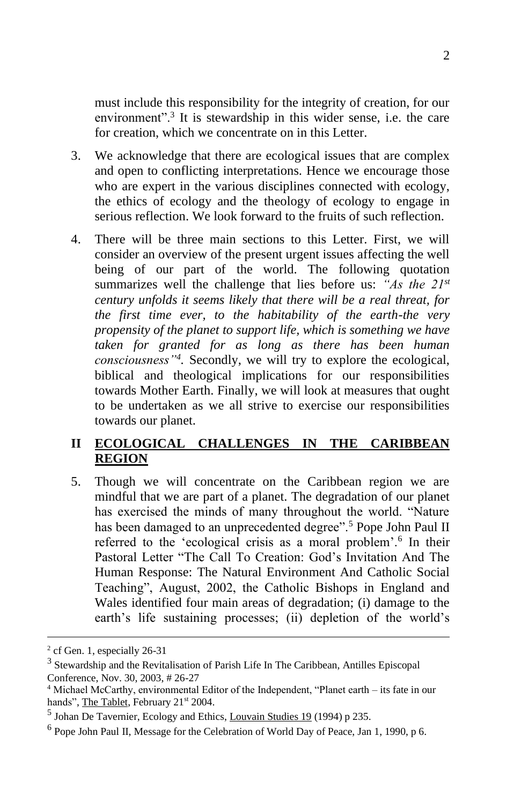must include this responsibility for the integrity of creation, for our environment"<sup>3</sup>. It is stewardship in this wider sense, i.e. the care for creation, which we concentrate on in this Letter.

- 3. We acknowledge that there are ecological issues that are complex and open to conflicting interpretations. Hence we encourage those who are expert in the various disciplines connected with ecology, the ethics of ecology and the theology of ecology to engage in serious reflection. We look forward to the fruits of such reflection.
- 4. There will be three main sections to this Letter. First, we will consider an overview of the present urgent issues affecting the well being of our part of the world. The following quotation summarizes well the challenge that lies before us: *"As the 21st century unfolds it seems likely that there will be a real threat, for the first time ever, to the habitability of the earth-the very propensity of the planet to support life, which is something we have taken for granted for as long as there has been human consciousness"<sup>4</sup> .* Secondly, we will try to explore the ecological, biblical and theological implications for our responsibilities towards Mother Earth. Finally, we will look at measures that ought to be undertaken as we all strive to exercise our responsibilities towards our planet.

## **II ECOLOGICAL CHALLENGES IN THE CARIBBEAN REGION**

5. Though we will concentrate on the Caribbean region we are mindful that we are part of a planet. The degradation of our planet has exercised the minds of many throughout the world. "Nature has been damaged to an unprecedented degree".<sup>5</sup> Pope John Paul II referred to the 'ecological crisis as a moral problem'.<sup>6</sup> In their Pastoral Letter "The Call To Creation: God's Invitation And The Human Response: The Natural Environment And Catholic Social Teaching", August, 2002, the Catholic Bishops in England and Wales identified four main areas of degradation; (i) damage to the earth's life sustaining processes; (ii) depletion of the world's

<sup>&</sup>lt;sup>2</sup> cf Gen. 1, especially 26-31

<sup>&</sup>lt;sup>3</sup> Stewardship and the Revitalisation of Parish Life In The Caribbean, Antilles Episcopal Conference, Nov. 30, 2003, # 26-27

<sup>4</sup> Michael McCarthy, environmental Editor of the Independent, "Planet earth – its fate in our hands", The Tablet, February 21st 2004.

<sup>&</sup>lt;sup>5</sup> Johan De Tavernier, Ecology and Ethics, Louvain Studies 19 (1994) p 235.

<sup>&</sup>lt;sup>6</sup> Pope John Paul II, Message for the Celebration of World Day of Peace, Jan 1, 1990, p 6.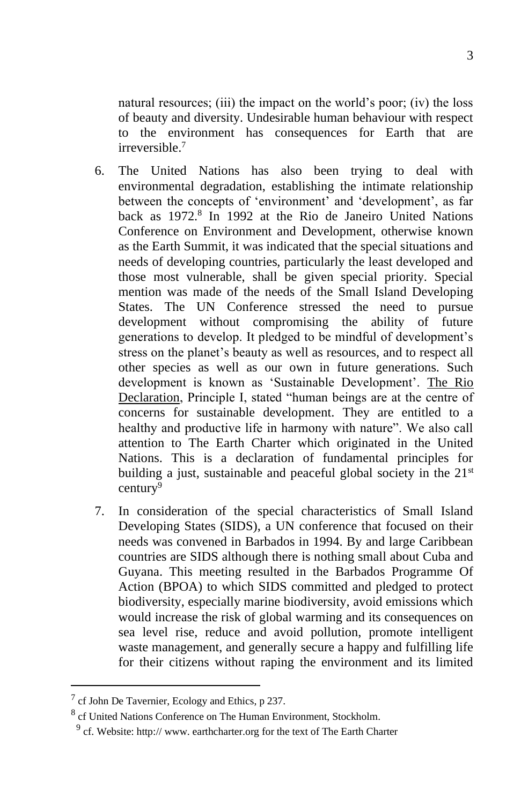natural resources; (iii) the impact on the world's poor; (iv) the loss of beauty and diversity. Undesirable human behaviour with respect to the environment has consequences for Earth that are irreversible<sup>7</sup>

- 6. The United Nations has also been trying to deal with environmental degradation, establishing the intimate relationship between the concepts of 'environment' and 'development', as far back as 1972.<sup>8</sup> In 1992 at the Rio de Janeiro United Nations Conference on Environment and Development, otherwise known as the Earth Summit, it was indicated that the special situations and needs of developing countries, particularly the least developed and those most vulnerable, shall be given special priority. Special mention was made of the needs of the Small Island Developing States. The UN Conference stressed the need to pursue development without compromising the ability of future generations to develop. It pledged to be mindful of development's stress on the planet's beauty as well as resources, and to respect all other species as well as our own in future generations. Such development is known as 'Sustainable Development'. The Rio Declaration, Principle I, stated "human beings are at the centre of concerns for sustainable development. They are entitled to a healthy and productive life in harmony with nature". We also call attention to The Earth Charter which originated in the United Nations. This is a declaration of fundamental principles for building a just, sustainable and peaceful global society in the  $21<sup>st</sup>$ century<sup>9</sup>
- 7. In consideration of the special characteristics of Small Island Developing States (SIDS), a UN conference that focused on their needs was convened in Barbados in 1994. By and large Caribbean countries are SIDS although there is nothing small about Cuba and Guyana. This meeting resulted in the Barbados Programme Of Action (BPOA) to which SIDS committed and pledged to protect biodiversity, especially marine biodiversity, avoid emissions which would increase the risk of global warming and its consequences on sea level rise, reduce and avoid pollution, promote intelligent waste management, and generally secure a happy and fulfilling life for their citizens without raping the environment and its limited

 $<sup>7</sup>$  cf John De Tavernier, Ecology and Ethics, p 237.</sup>

<sup>&</sup>lt;sup>8</sup> cf United Nations Conference on The Human Environment, Stockholm.

 $9$  cf. Website: http:// www. earthcharter.org for the text of The Earth Charter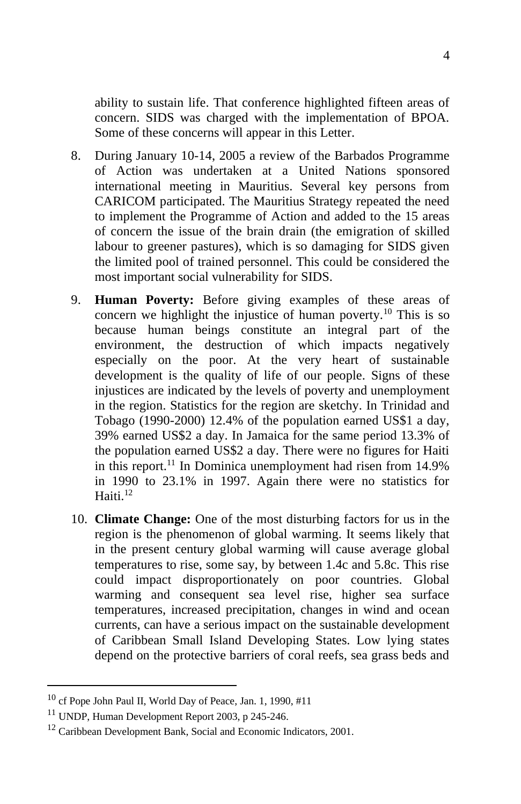ability to sustain life. That conference highlighted fifteen areas of concern. SIDS was charged with the implementation of BPOA. Some of these concerns will appear in this Letter.

- 8. During January 10-14, 2005 a review of the Barbados Programme of Action was undertaken at a United Nations sponsored international meeting in Mauritius. Several key persons from CARICOM participated. The Mauritius Strategy repeated the need to implement the Programme of Action and added to the 15 areas of concern the issue of the brain drain (the emigration of skilled labour to greener pastures), which is so damaging for SIDS given the limited pool of trained personnel. This could be considered the most important social vulnerability for SIDS.
- 9. **Human Poverty:** Before giving examples of these areas of concern we highlight the injustice of human poverty.<sup>10</sup> This is so because human beings constitute an integral part of the environment, the destruction of which impacts negatively especially on the poor. At the very heart of sustainable development is the quality of life of our people. Signs of these injustices are indicated by the levels of poverty and unemployment in the region. Statistics for the region are sketchy. In Trinidad and Tobago (1990-2000) 12.4% of the population earned US\$1 a day, 39% earned US\$2 a day. In Jamaica for the same period 13.3% of the population earned US\$2 a day. There were no figures for Haiti in this report.<sup>11</sup> In Dominica unemployment had risen from 14.9% in 1990 to 23.1% in 1997. Again there were no statistics for Haiti. $12$
- 10. **Climate Change:** One of the most disturbing factors for us in the region is the phenomenon of global warming. It seems likely that in the present century global warming will cause average global temperatures to rise, some say, by between 1.4c and 5.8c. This rise could impact disproportionately on poor countries. Global warming and consequent sea level rise, higher sea surface temperatures, increased precipitation, changes in wind and ocean currents, can have a serious impact on the sustainable development of Caribbean Small Island Developing States. Low lying states depend on the protective barriers of coral reefs, sea grass beds and

<sup>10</sup> cf Pope John Paul II, World Day of Peace, Jan. 1, 1990, #11

<sup>11</sup> UNDP, Human Development Report 2003, p 245-246.

<sup>&</sup>lt;sup>12</sup> Caribbean Development Bank, Social and Economic Indicators, 2001.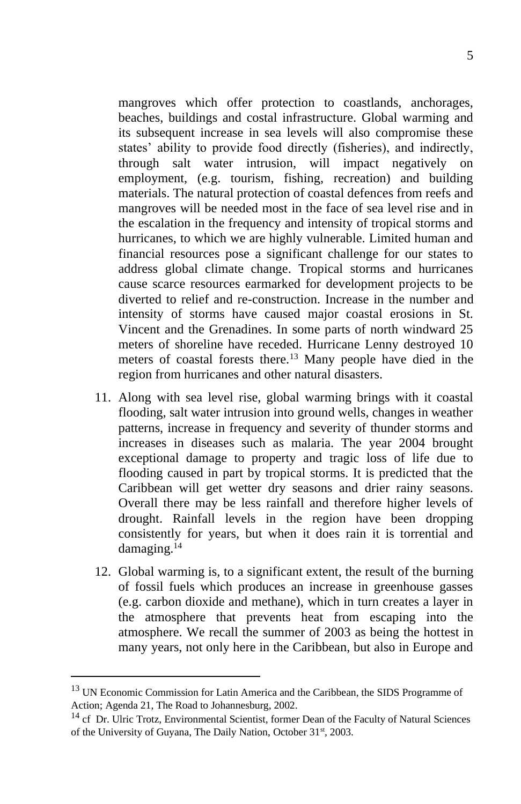mangroves which offer protection to coastlands, anchorages, beaches, buildings and costal infrastructure. Global warming and its subsequent increase in sea levels will also compromise these states' ability to provide food directly (fisheries), and indirectly, through salt water intrusion, will impact negatively on employment, (e.g. tourism, fishing, recreation) and building materials. The natural protection of coastal defences from reefs and mangroves will be needed most in the face of sea level rise and in the escalation in the frequency and intensity of tropical storms and hurricanes, to which we are highly vulnerable. Limited human and financial resources pose a significant challenge for our states to address global climate change. Tropical storms and hurricanes cause scarce resources earmarked for development projects to be diverted to relief and re-construction. Increase in the number and intensity of storms have caused major coastal erosions in St. Vincent and the Grenadines. In some parts of north windward 25 meters of shoreline have receded. Hurricane Lenny destroyed 10 meters of coastal forests there.<sup>13</sup> Many people have died in the region from hurricanes and other natural disasters.

- 11. Along with sea level rise, global warming brings with it coastal flooding, salt water intrusion into ground wells, changes in weather patterns, increase in frequency and severity of thunder storms and increases in diseases such as malaria. The year 2004 brought exceptional damage to property and tragic loss of life due to flooding caused in part by tropical storms. It is predicted that the Caribbean will get wetter dry seasons and drier rainy seasons. Overall there may be less rainfall and therefore higher levels of drought. Rainfall levels in the region have been dropping consistently for years, but when it does rain it is torrential and damaging.<sup>14</sup>
- 12. Global warming is, to a significant extent, the result of the burning of fossil fuels which produces an increase in greenhouse gasses (e.g. carbon dioxide and methane), which in turn creates a layer in the atmosphere that prevents heat from escaping into the atmosphere. We recall the summer of 2003 as being the hottest in many years, not only here in the Caribbean, but also in Europe and

<sup>&</sup>lt;sup>13</sup> UN Economic Commission for Latin America and the Caribbean, the SIDS Programme of Action; Agenda 21, The Road to Johannesburg, 2002.

<sup>&</sup>lt;sup>14</sup> cf Dr. Ulric Trotz, Environmental Scientist, former Dean of the Faculty of Natural Sciences of the University of Guyana, The Daily Nation, October 31<sup>st</sup>, 2003.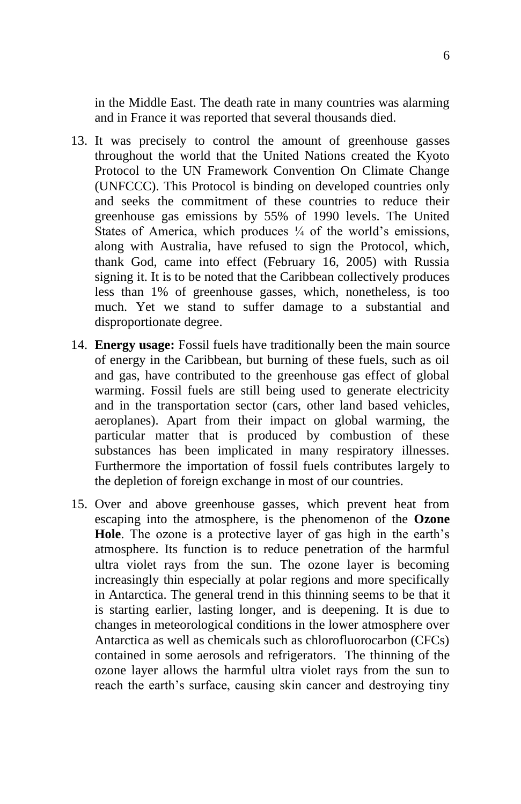in the Middle East. The death rate in many countries was alarming and in France it was reported that several thousands died.

- 13. It was precisely to control the amount of greenhouse gasses throughout the world that the United Nations created the Kyoto Protocol to the UN Framework Convention On Climate Change (UNFCCC). This Protocol is binding on developed countries only and seeks the commitment of these countries to reduce their greenhouse gas emissions by 55% of 1990 levels. The United States of America, which produces  $\frac{1}{4}$  of the world's emissions, along with Australia, have refused to sign the Protocol, which, thank God, came into effect (February 16, 2005) with Russia signing it. It is to be noted that the Caribbean collectively produces less than 1% of greenhouse gasses, which, nonetheless, is too much. Yet we stand to suffer damage to a substantial and disproportionate degree.
- 14. **Energy usage:** Fossil fuels have traditionally been the main source of energy in the Caribbean, but burning of these fuels, such as oil and gas, have contributed to the greenhouse gas effect of global warming. Fossil fuels are still being used to generate electricity and in the transportation sector (cars, other land based vehicles, aeroplanes). Apart from their impact on global warming, the particular matter that is produced by combustion of these substances has been implicated in many respiratory illnesses. Furthermore the importation of fossil fuels contributes largely to the depletion of foreign exchange in most of our countries.
- 15. Over and above greenhouse gasses, which prevent heat from escaping into the atmosphere, is the phenomenon of the **Ozone Hole**. The ozone is a protective layer of gas high in the earth's atmosphere. Its function is to reduce penetration of the harmful ultra violet rays from the sun. The ozone layer is becoming increasingly thin especially at polar regions and more specifically in Antarctica. The general trend in this thinning seems to be that it is starting earlier, lasting longer, and is deepening. It is due to changes in meteorological conditions in the lower atmosphere over Antarctica as well as chemicals such as chlorofluorocarbon (CFCs) contained in some aerosols and refrigerators. The thinning of the ozone layer allows the harmful ultra violet rays from the sun to reach the earth's surface, causing skin cancer and destroying tiny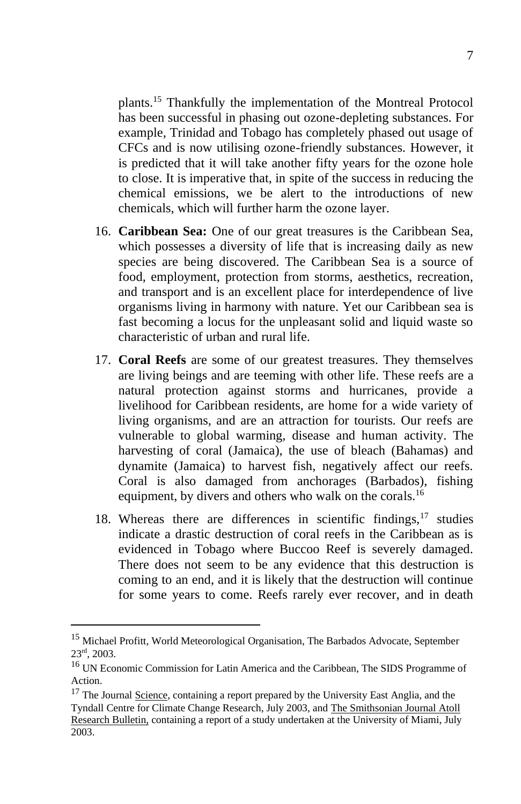plants.<sup>15</sup> Thankfully the implementation of the Montreal Protocol has been successful in phasing out ozone-depleting substances. For example, Trinidad and Tobago has completely phased out usage of CFCs and is now utilising ozone-friendly substances. However, it is predicted that it will take another fifty years for the ozone hole to close. It is imperative that, in spite of the success in reducing the chemical emissions, we be alert to the introductions of new chemicals, which will further harm the ozone layer.

- 16. **Caribbean Sea:** One of our great treasures is the Caribbean Sea, which possesses a diversity of life that is increasing daily as new species are being discovered. The Caribbean Sea is a source of food, employment, protection from storms, aesthetics, recreation, and transport and is an excellent place for interdependence of live organisms living in harmony with nature. Yet our Caribbean sea is fast becoming a locus for the unpleasant solid and liquid waste so characteristic of urban and rural life.
- 17. **Coral Reefs** are some of our greatest treasures. They themselves are living beings and are teeming with other life. These reefs are a natural protection against storms and hurricanes, provide a livelihood for Caribbean residents, are home for a wide variety of living organisms, and are an attraction for tourists. Our reefs are vulnerable to global warming, disease and human activity. The harvesting of coral (Jamaica), the use of bleach (Bahamas) and dynamite (Jamaica) to harvest fish, negatively affect our reefs. Coral is also damaged from anchorages (Barbados), fishing equipment, by divers and others who walk on the corals.<sup>16</sup>
- 18. Whereas there are differences in scientific findings,  $17$  studies indicate a drastic destruction of coral reefs in the Caribbean as is evidenced in Tobago where Buccoo Reef is severely damaged. There does not seem to be any evidence that this destruction is coming to an end, and it is likely that the destruction will continue for some years to come. Reefs rarely ever recover, and in death

<sup>&</sup>lt;sup>15</sup> Michael Profitt, World Meteorological Organisation, The Barbados Advocate, September 23rd, 2003.

<sup>16</sup> UN Economic Commission for Latin America and the Caribbean, The SIDS Programme of Action.

<sup>&</sup>lt;sup>17</sup> The Journal Science, containing a report prepared by the University East Anglia, and the Tyndall Centre for Climate Change Research, July 2003, and The Smithsonian Journal Atoll Research Bulletin, containing a report of a study undertaken at the University of Miami, July 2003.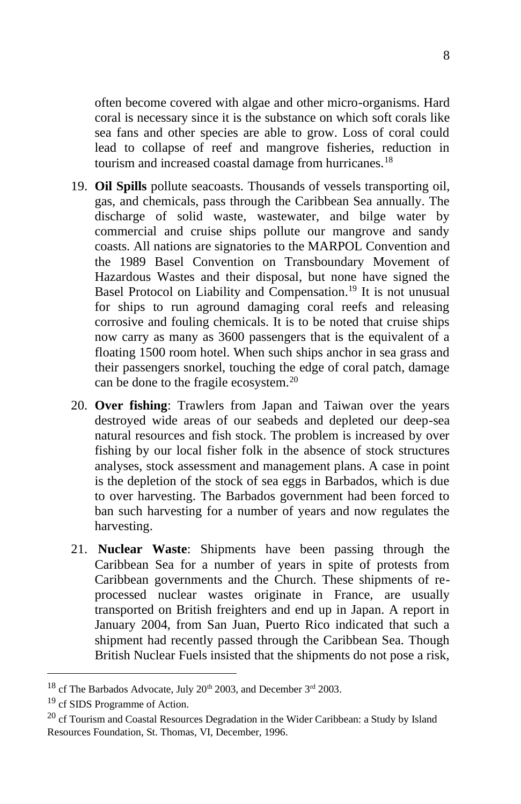often become covered with algae and other micro-organisms. Hard coral is necessary since it is the substance on which soft corals like sea fans and other species are able to grow. Loss of coral could lead to collapse of reef and mangrove fisheries, reduction in tourism and increased coastal damage from hurricanes.<sup>18</sup>

- 19. **Oil Spills** pollute seacoasts. Thousands of vessels transporting oil, gas, and chemicals, pass through the Caribbean Sea annually. The discharge of solid waste, wastewater, and bilge water by commercial and cruise ships pollute our mangrove and sandy coasts. All nations are signatories to the MARPOL Convention and the 1989 Basel Convention on Transboundary Movement of Hazardous Wastes and their disposal, but none have signed the Basel Protocol on Liability and Compensation.<sup>19</sup> It is not unusual for ships to run aground damaging coral reefs and releasing corrosive and fouling chemicals. It is to be noted that cruise ships now carry as many as 3600 passengers that is the equivalent of a floating 1500 room hotel. When such ships anchor in sea grass and their passengers snorkel, touching the edge of coral patch, damage can be done to the fragile ecosystem.<sup>20</sup>
- 20. **Over fishing**: Trawlers from Japan and Taiwan over the years destroyed wide areas of our seabeds and depleted our deep-sea natural resources and fish stock. The problem is increased by over fishing by our local fisher folk in the absence of stock structures analyses, stock assessment and management plans. A case in point is the depletion of the stock of sea eggs in Barbados, which is due to over harvesting. The Barbados government had been forced to ban such harvesting for a number of years and now regulates the harvesting.
- 21. **Nuclear Waste**: Shipments have been passing through the Caribbean Sea for a number of years in spite of protests from Caribbean governments and the Church. These shipments of reprocessed nuclear wastes originate in France, are usually transported on British freighters and end up in Japan. A report in January 2004, from San Juan, Puerto Rico indicated that such a shipment had recently passed through the Caribbean Sea. Though British Nuclear Fuels insisted that the shipments do not pose a risk,

 $^{18}$  cf The Barbados Advocate, July 20<sup>th</sup> 2003, and December 3<sup>rd</sup> 2003.

<sup>&</sup>lt;sup>19</sup> cf SIDS Programme of Action.

 $20$  cf Tourism and Coastal Resources Degradation in the Wider Caribbean: a Study by Island Resources Foundation, St. Thomas, VI, December, 1996.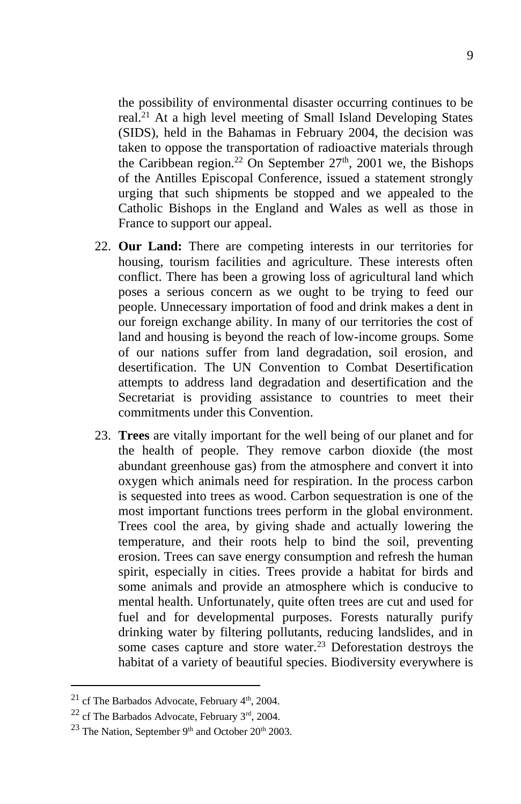the possibility of environmental disaster occurring continues to be real.<sup>21</sup> At a high level meeting of Small Island Developing States (SIDS), held in the Bahamas in February 2004, the decision was taken to oppose the transportation of radioactive materials through the Caribbean region.<sup>22</sup> On September  $27<sup>th</sup>$ , 2001 we, the Bishops of the Antilles Episcopal Conference, issued a statement strongly urging that such shipments be stopped and we appealed to the Catholic Bishops in the England and Wales as well as those in France to support our appeal.

- 22. **Our Land:** There are competing interests in our territories for housing, tourism facilities and agriculture. These interests often conflict. There has been a growing loss of agricultural land which poses a serious concern as we ought to be trying to feed our people. Unnecessary importation of food and drink makes a dent in our foreign exchange ability. In many of our territories the cost of land and housing is beyond the reach of low-income groups. Some of our nations suffer from land degradation, soil erosion, and desertification. The UN Convention to Combat Desertification attempts to address land degradation and desertification and the Secretariat is providing assistance to countries to meet their commitments under this Convention.
- 23. **Trees** are vitally important for the well being of our planet and for the health of people. They remove carbon dioxide (the most abundant greenhouse gas) from the atmosphere and convert it into oxygen which animals need for respiration. In the process carbon is sequested into trees as wood. Carbon sequestration is one of the most important functions trees perform in the global environment. Trees cool the area, by giving shade and actually lowering the temperature, and their roots help to bind the soil, preventing erosion. Trees can save energy consumption and refresh the human spirit, especially in cities. Trees provide a habitat for birds and some animals and provide an atmosphere which is conducive to mental health. Unfortunately, quite often trees are cut and used for fuel and for developmental purposes. Forests naturally purify drinking water by filtering pollutants, reducing landslides, and in some cases capture and store water.<sup>23</sup> Deforestation destroys the habitat of a variety of beautiful species. Biodiversity everywhere is

 $21$  cf The Barbados Advocate, February  $4<sup>th</sup>$ , 2004.

 $22$  cf The Barbados Advocate, February  $3<sup>rd</sup>$ , 2004.

 $23$  The Nation, September 9<sup>th</sup> and October 20<sup>th</sup> 2003.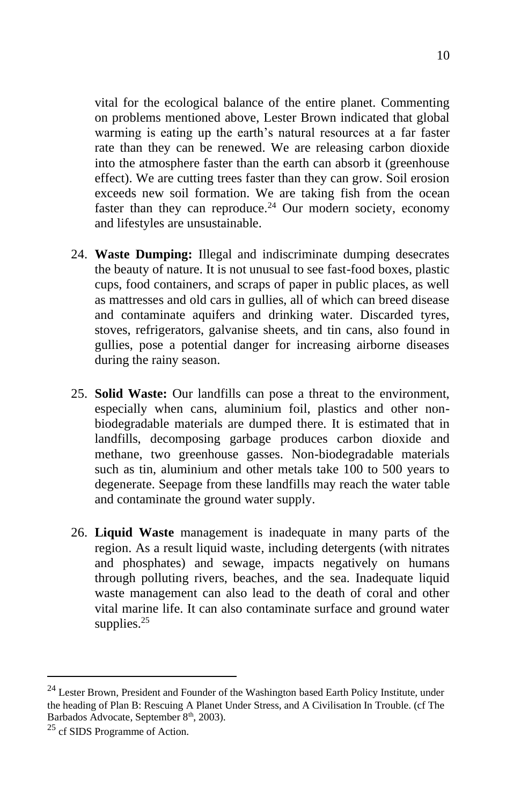vital for the ecological balance of the entire planet. Commenting on problems mentioned above, Lester Brown indicated that global warming is eating up the earth's natural resources at a far faster rate than they can be renewed. We are releasing carbon dioxide into the atmosphere faster than the earth can absorb it (greenhouse effect). We are cutting trees faster than they can grow. Soil erosion exceeds new soil formation. We are taking fish from the ocean faster than they can reproduce.<sup>24</sup> Our modern society, economy and lifestyles are unsustainable.

- 24. **Waste Dumping:** Illegal and indiscriminate dumping desecrates the beauty of nature. It is not unusual to see fast-food boxes, plastic cups, food containers, and scraps of paper in public places, as well as mattresses and old cars in gullies, all of which can breed disease and contaminate aquifers and drinking water. Discarded tyres, stoves, refrigerators, galvanise sheets, and tin cans, also found in gullies, pose a potential danger for increasing airborne diseases during the rainy season.
- 25. **Solid Waste:** Our landfills can pose a threat to the environment, especially when cans, aluminium foil, plastics and other nonbiodegradable materials are dumped there. It is estimated that in landfills, decomposing garbage produces carbon dioxide and methane, two greenhouse gasses. Non-biodegradable materials such as tin, aluminium and other metals take 100 to 500 years to degenerate. Seepage from these landfills may reach the water table and contaminate the ground water supply.
- 26. **Liquid Waste** management is inadequate in many parts of the region. As a result liquid waste, including detergents (with nitrates and phosphates) and sewage, impacts negatively on humans through polluting rivers, beaches, and the sea. Inadequate liquid waste management can also lead to the death of coral and other vital marine life. It can also contaminate surface and ground water supplies. $25$

 $^{24}$  Lester Brown, President and Founder of the Washington based Earth Policy Institute, under the heading of Plan B: Rescuing A Planet Under Stress, and A Civilisation In Trouble. (cf The Barbados Advocate, September 8<sup>th</sup>, 2003).

<sup>25</sup> cf SIDS Programme of Action.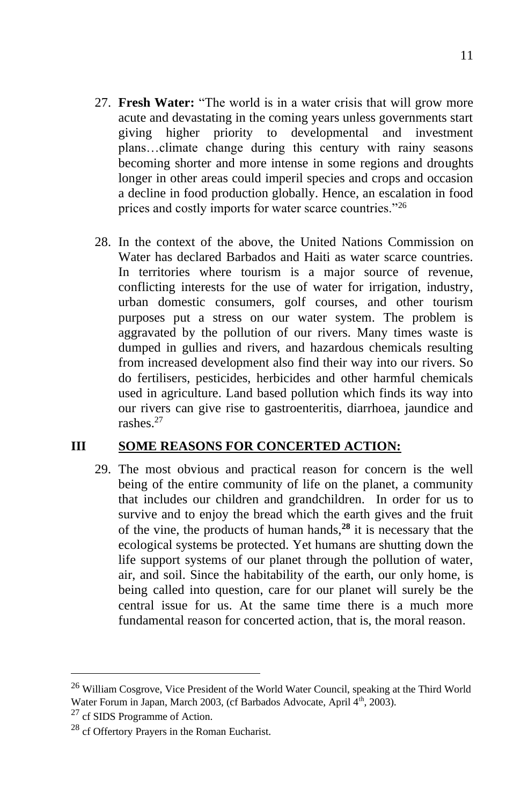- 27. **Fresh Water:** "The world is in a water crisis that will grow more acute and devastating in the coming years unless governments start giving higher priority to developmental and investment plans…climate change during this century with rainy seasons becoming shorter and more intense in some regions and droughts longer in other areas could imperil species and crops and occasion a decline in food production globally. Hence, an escalation in food prices and costly imports for water scarce countries."<sup>26</sup>
- 28. In the context of the above, the United Nations Commission on Water has declared Barbados and Haiti as water scarce countries. In territories where tourism is a major source of revenue, conflicting interests for the use of water for irrigation, industry, urban domestic consumers, golf courses, and other tourism purposes put a stress on our water system. The problem is aggravated by the pollution of our rivers. Many times waste is dumped in gullies and rivers, and hazardous chemicals resulting from increased development also find their way into our rivers. So do fertilisers, pesticides, herbicides and other harmful chemicals used in agriculture. Land based pollution which finds its way into our rivers can give rise to gastroenteritis, diarrhoea, jaundice and rashes.<sup>27</sup>

## **III SOME REASONS FOR CONCERTED ACTION:**

29. The most obvious and practical reason for concern is the well being of the entire community of life on the planet, a community that includes our children and grandchildren. In order for us to survive and to enjoy the bread which the earth gives and the fruit of the vine, the products of human hands,**<sup>28</sup>** it is necessary that the ecological systems be protected. Yet humans are shutting down the life support systems of our planet through the pollution of water, air, and soil. Since the habitability of the earth, our only home, is being called into question, care for our planet will surely be the central issue for us. At the same time there is a much more fundamental reason for concerted action, that is, the moral reason.

<sup>&</sup>lt;sup>26</sup> William Cosgrove, Vice President of the World Water Council, speaking at the Third World Water Forum in Japan, March 2003, (cf Barbados Advocate, April 4<sup>th</sup>, 2003).

<sup>27</sup> cf SIDS Programme of Action.

<sup>28</sup> cf Offertory Prayers in the Roman Eucharist.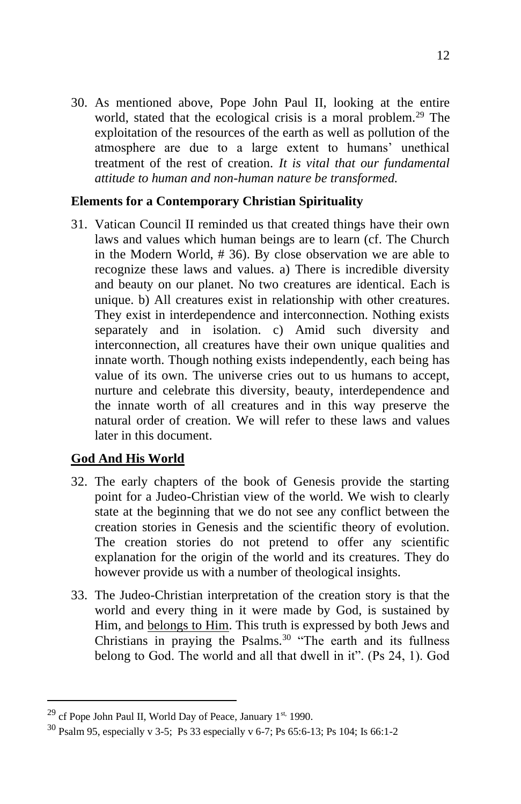30. As mentioned above, Pope John Paul II, looking at the entire world, stated that the ecological crisis is a moral problem.<sup>29</sup> The exploitation of the resources of the earth as well as pollution of the atmosphere are due to a large extent to humans' unethical treatment of the rest of creation. *It is vital that our fundamental attitude to human and non-human nature be transformed.*

## **Elements for a Contemporary Christian Spirituality**

31. Vatican Council II reminded us that created things have their own laws and values which human beings are to learn (cf. The Church in the Modern World, # 36). By close observation we are able to recognize these laws and values. a) There is incredible diversity and beauty on our planet. No two creatures are identical. Each is unique. b) All creatures exist in relationship with other creatures. They exist in interdependence and interconnection. Nothing exists separately and in isolation. c) Amid such diversity and interconnection, all creatures have their own unique qualities and innate worth. Though nothing exists independently, each being has value of its own. The universe cries out to us humans to accept, nurture and celebrate this diversity, beauty, interdependence and the innate worth of all creatures and in this way preserve the natural order of creation. We will refer to these laws and values later in this document.

## **God And His World**

- 32. The early chapters of the book of Genesis provide the starting point for a Judeo-Christian view of the world. We wish to clearly state at the beginning that we do not see any conflict between the creation stories in Genesis and the scientific theory of evolution. The creation stories do not pretend to offer any scientific explanation for the origin of the world and its creatures. They do however provide us with a number of theological insights.
- 33. The Judeo-Christian interpretation of the creation story is that the world and every thing in it were made by God, is sustained by Him, and belongs to Him. This truth is expressed by both Jews and Christians in praying the Psalms. $30$  "The earth and its fullness belong to God. The world and all that dwell in it". (Ps 24, 1). God

<sup>&</sup>lt;sup>29</sup> cf Pope John Paul II, World Day of Peace, January 1<sup>st,</sup> 1990.

<sup>30</sup> Psalm 95, especially v 3-5; Ps 33 especially v 6-7; Ps 65:6-13; Ps 104; Is 66:1-2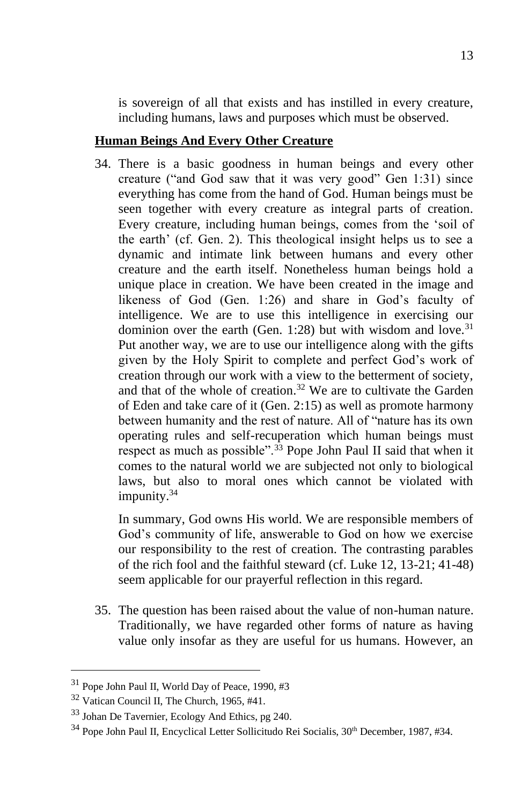is sovereign of all that exists and has instilled in every creature, including humans, laws and purposes which must be observed.

#### **Human Beings And Every Other Creature**

34. There is a basic goodness in human beings and every other creature ("and God saw that it was very good" Gen 1:31) since everything has come from the hand of God. Human beings must be seen together with every creature as integral parts of creation. Every creature, including human beings, comes from the 'soil of the earth' (cf. Gen. 2). This theological insight helps us to see a dynamic and intimate link between humans and every other creature and the earth itself. Nonetheless human beings hold a unique place in creation. We have been created in the image and likeness of God (Gen. 1:26) and share in God's faculty of intelligence. We are to use this intelligence in exercising our dominion over the earth (Gen. 1:28) but with wisdom and love.<sup>31</sup> Put another way, we are to use our intelligence along with the gifts given by the Holy Spirit to complete and perfect God's work of creation through our work with a view to the betterment of society, and that of the whole of creation.<sup>32</sup> We are to cultivate the Garden of Eden and take care of it (Gen. 2:15) as well as promote harmony between humanity and the rest of nature. All of "nature has its own operating rules and self-recuperation which human beings must respect as much as possible".<sup> $3\overline{3}$ </sup> Pope John Paul II said that when it comes to the natural world we are subjected not only to biological laws, but also to moral ones which cannot be violated with impunity.<sup>34</sup>

In summary, God owns His world. We are responsible members of God's community of life, answerable to God on how we exercise our responsibility to the rest of creation. The contrasting parables of the rich fool and the faithful steward (cf. Luke 12, 13-21; 41-48) seem applicable for our prayerful reflection in this regard.

35. The question has been raised about the value of non-human nature. Traditionally, we have regarded other forms of nature as having value only insofar as they are useful for us humans. However, an

<sup>31</sup> Pope John Paul II, World Day of Peace, 1990, #3

<sup>32</sup> Vatican Council II, The Church, 1965, #41.

<sup>33</sup> Johan De Tavernier, Ecology And Ethics, pg 240.

<sup>&</sup>lt;sup>34</sup> Pope John Paul II, Encyclical Letter Sollicitudo Rei Socialis, 30<sup>th</sup> December, 1987, #34.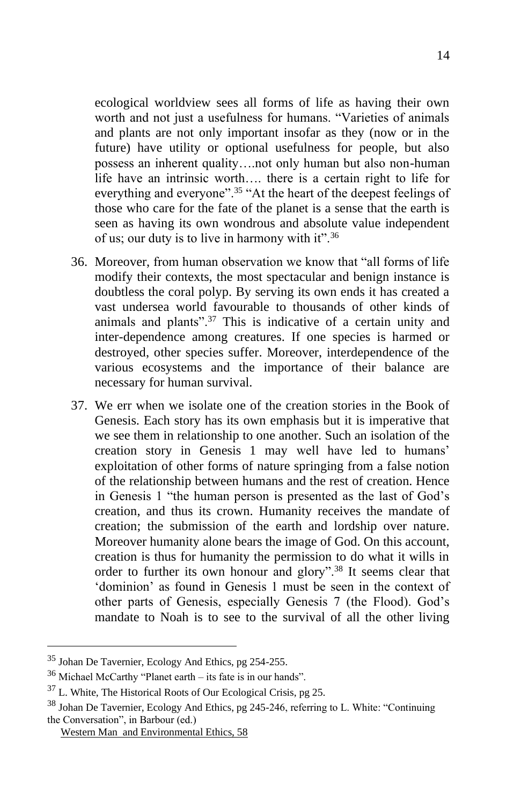ecological worldview sees all forms of life as having their own worth and not just a usefulness for humans. "Varieties of animals and plants are not only important insofar as they (now or in the future) have utility or optional usefulness for people, but also possess an inherent quality….not only human but also non-human life have an intrinsic worth…. there is a certain right to life for everything and everyone".<sup>35</sup> "At the heart of the deepest feelings of those who care for the fate of the planet is a sense that the earth is seen as having its own wondrous and absolute value independent of us; our duty is to live in harmony with it".<sup>36</sup>

- 36. Moreover, from human observation we know that "all forms of life modify their contexts, the most spectacular and benign instance is doubtless the coral polyp. By serving its own ends it has created a vast undersea world favourable to thousands of other kinds of animals and plants".<sup>37</sup> This is indicative of a certain unity and inter-dependence among creatures. If one species is harmed or destroyed, other species suffer. Moreover, interdependence of the various ecosystems and the importance of their balance are necessary for human survival.
- 37. We err when we isolate one of the creation stories in the Book of Genesis. Each story has its own emphasis but it is imperative that we see them in relationship to one another. Such an isolation of the creation story in Genesis 1 may well have led to humans' exploitation of other forms of nature springing from a false notion of the relationship between humans and the rest of creation. Hence in Genesis 1 "the human person is presented as the last of God's creation, and thus its crown. Humanity receives the mandate of creation; the submission of the earth and lordship over nature. Moreover humanity alone bears the image of God. On this account, creation is thus for humanity the permission to do what it wills in order to further its own honour and glory".<sup>38</sup> It seems clear that 'dominion' as found in Genesis 1 must be seen in the context of other parts of Genesis, especially Genesis 7 (the Flood). God's mandate to Noah is to see to the survival of all the other living

<sup>35</sup> Johan De Tavernier, Ecology And Ethics, pg 254-255.

 $36$  Michael McCarthy "Planet earth – its fate is in our hands".

<sup>37</sup> L. White, The Historical Roots of Our Ecological Crisis, pg 25.

<sup>38</sup> Johan De Tavernier, Ecology And Ethics, pg 245-246, referring to L. White: "Continuing the Conversation", in Barbour (ed.)

Western Man and Environmental Ethics, 58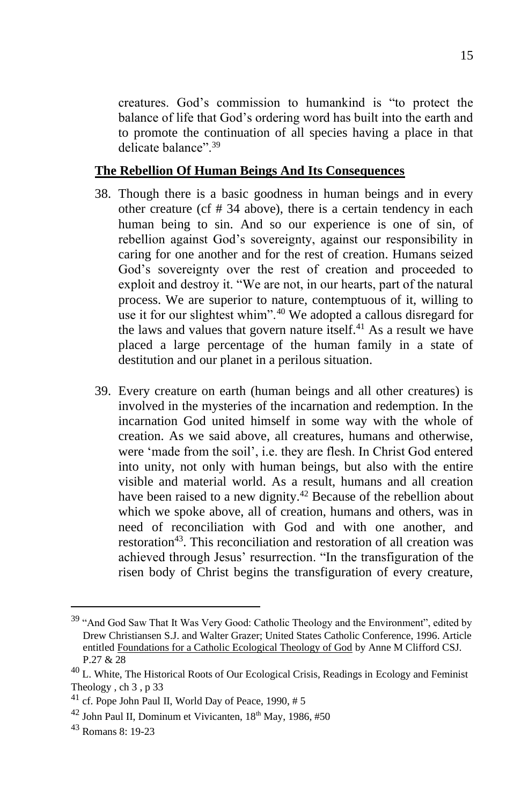creatures. God's commission to humankind is "to protect the balance of life that God's ordering word has built into the earth and to promote the continuation of all species having a place in that delicate balance". 39

#### **The Rebellion Of Human Beings And Its Consequences**

- 38. Though there is a basic goodness in human beings and in every other creature (cf # 34 above), there is a certain tendency in each human being to sin. And so our experience is one of sin, of rebellion against God's sovereignty, against our responsibility in caring for one another and for the rest of creation. Humans seized God's sovereignty over the rest of creation and proceeded to exploit and destroy it. "We are not, in our hearts, part of the natural process. We are superior to nature, contemptuous of it, willing to use it for our slightest whim".<sup>40</sup> We adopted a callous disregard for the laws and values that govern nature itself. $41$  As a result we have placed a large percentage of the human family in a state of destitution and our planet in a perilous situation.
- 39. Every creature on earth (human beings and all other creatures) is involved in the mysteries of the incarnation and redemption. In the incarnation God united himself in some way with the whole of creation. As we said above, all creatures, humans and otherwise, were 'made from the soil', i.e. they are flesh. In Christ God entered into unity, not only with human beings, but also with the entire visible and material world. As a result, humans and all creation have been raised to a new dignity.<sup>42</sup> Because of the rebellion about which we spoke above, all of creation, humans and others, was in need of reconciliation with God and with one another, and restoration<sup>43</sup>. This reconciliation and restoration of all creation was achieved through Jesus' resurrection. "In the transfiguration of the risen body of Christ begins the transfiguration of every creature,

<sup>39</sup> "And God Saw That It Was Very Good: Catholic Theology and the Environment", edited by Drew Christiansen S.J. and Walter Grazer; United States Catholic Conference, 1996. Article entitled Foundations for a Catholic Ecological Theology of God by Anne M Clifford CSJ. P.27 & 28

 $^{40}$  L. White, The Historical Roots of Our Ecological Crisis, Readings in Ecology and Feminist Theology , ch 3 , p 33

 $41$  cf. Pope John Paul II, World Day of Peace, 1990, #5

 $42$  John Paul II, Dominum et Vivicanten,  $18<sup>th</sup>$  May, 1986, #50

<sup>43</sup> Romans 8: 19-23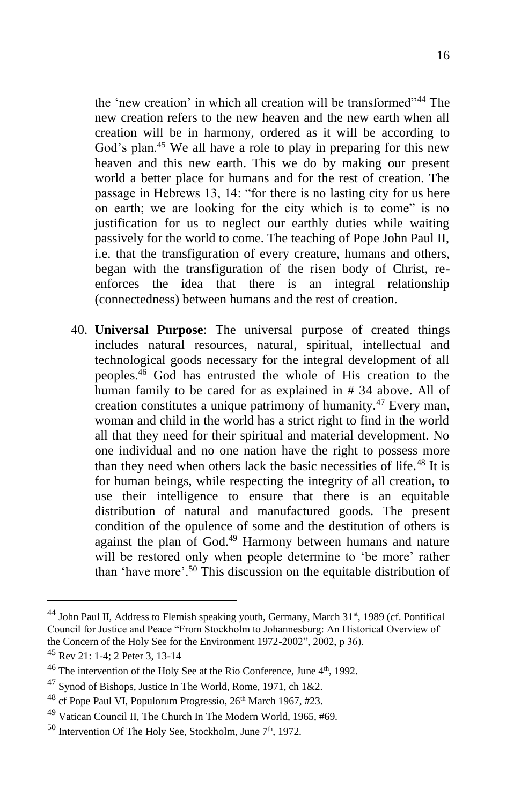the 'new creation' in which all creation will be transformed"<sup>44</sup> The new creation refers to the new heaven and the new earth when all creation will be in harmony, ordered as it will be according to God's plan.<sup>45</sup> We all have a role to play in preparing for this new heaven and this new earth. This we do by making our present world a better place for humans and for the rest of creation. The passage in Hebrews 13, 14: "for there is no lasting city for us here on earth; we are looking for the city which is to come" is no justification for us to neglect our earthly duties while waiting passively for the world to come. The teaching of Pope John Paul II, i.e. that the transfiguration of every creature, humans and others, began with the transfiguration of the risen body of Christ, reenforces the idea that there is an integral relationship (connectedness) between humans and the rest of creation.

40. **Universal Purpose**: The universal purpose of created things includes natural resources, natural, spiritual, intellectual and technological goods necessary for the integral development of all peoples.<sup>46</sup> God has entrusted the whole of His creation to the human family to be cared for as explained in # 34 above. All of creation constitutes a unique patrimony of humanity.<sup>47</sup> Every man, woman and child in the world has a strict right to find in the world all that they need for their spiritual and material development. No one individual and no one nation have the right to possess more than they need when others lack the basic necessities of life.<sup>48</sup> It is for human beings, while respecting the integrity of all creation, to use their intelligence to ensure that there is an equitable distribution of natural and manufactured goods. The present condition of the opulence of some and the destitution of others is against the plan of God.<sup>49</sup> Harmony between humans and nature will be restored only when people determine to 'be more' rather than 'have more'.<sup>50</sup> This discussion on the equitable distribution of

<sup>&</sup>lt;sup>44</sup> John Paul II, Address to Flemish speaking youth, Germany, March 31<sup>st</sup>, 1989 (cf. Pontifical Council for Justice and Peace "From Stockholm to Johannesburg: An Historical Overview of the Concern of the Holy See for the Environment 1972-2002", 2002, p 36).

<sup>45</sup> Rev 21: 1-4; 2 Peter 3, 13-14

 $46$  The intervention of the Holy See at the Rio Conference, June  $4<sup>th</sup>$ , 1992.

 $47$  Synod of Bishops, Justice In The World, Rome, 1971, ch 1&2.

 $^{48}$  cf Pope Paul VI, Populorum Progressio,  $26<sup>th</sup>$  March 1967, #23.

<sup>49</sup> Vatican Council II, The Church In The Modern World, 1965, #69.

 $50$  Intervention Of The Holy See, Stockholm, June  $7<sup>th</sup>$ , 1972.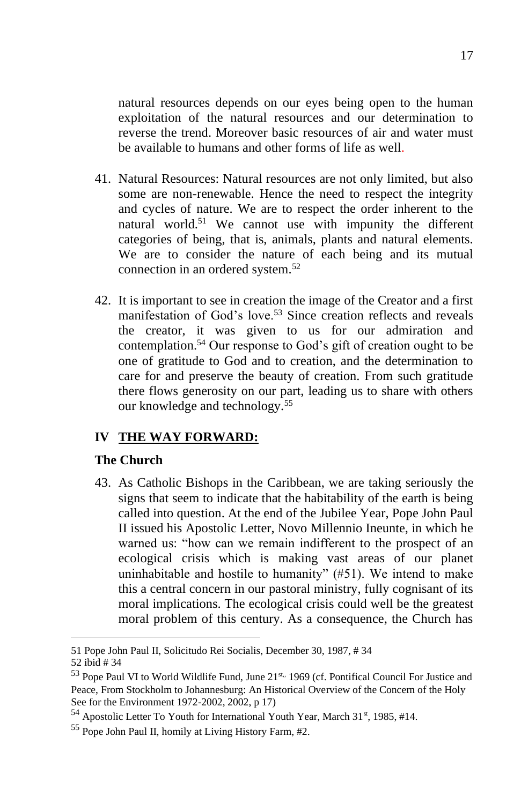natural resources depends on our eyes being open to the human exploitation of the natural resources and our determination to reverse the trend. Moreover basic resources of air and water must be available to humans and other forms of life as well.

- 41. Natural Resources: Natural resources are not only limited, but also some are non-renewable. Hence the need to respect the integrity and cycles of nature. We are to respect the order inherent to the natural world.<sup>51</sup> We cannot use with impunity the different categories of being, that is, animals, plants and natural elements. We are to consider the nature of each being and its mutual connection in an ordered system.<sup>52</sup>
- 42. It is important to see in creation the image of the Creator and a first manifestation of God's love.<sup>53</sup> Since creation reflects and reveals the creator, it was given to us for our admiration and contemplation.<sup>54</sup> Our response to God's gift of creation ought to be one of gratitude to God and to creation, and the determination to care for and preserve the beauty of creation. From such gratitude there flows generosity on our part, leading us to share with others our knowledge and technology.<sup>55</sup>

## **IV THE WAY FORWARD:**

#### **The Church**

43. As Catholic Bishops in the Caribbean, we are taking seriously the signs that seem to indicate that the habitability of the earth is being called into question. At the end of the Jubilee Year, Pope John Paul II issued his Apostolic Letter, Novo Millennio Ineunte, in which he warned us: "how can we remain indifferent to the prospect of an ecological crisis which is making vast areas of our planet uninhabitable and hostile to humanity" (#51). We intend to make this a central concern in our pastoral ministry, fully cognisant of its moral implications. The ecological crisis could well be the greatest moral problem of this century. As a consequence, the Church has

<sup>51</sup> Pope John Paul II, Solicitudo Rei Socialis, December 30, 1987, # 34

<sup>52</sup> ibid # 34

<sup>53</sup> Pope Paul VI to World Wildlife Fund, June 21<sup>st.,</sup> 1969 (cf. Pontifical Council For Justice and Peace, From Stockholm to Johannesburg: An Historical Overview of the Concern of the Holy See for the Environment 1972-2002, 2002, p 17)

 $54$  Apostolic Letter To Youth for International Youth Year, March  $31<sup>st</sup>$ , 1985, #14.

<sup>55</sup> Pope John Paul II, homily at Living History Farm, #2.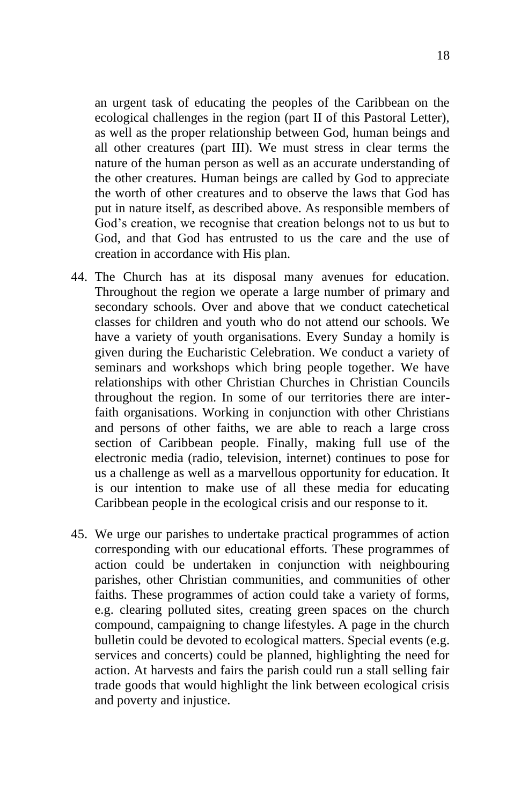an urgent task of educating the peoples of the Caribbean on the ecological challenges in the region (part II of this Pastoral Letter), as well as the proper relationship between God, human beings and all other creatures (part III). We must stress in clear terms the nature of the human person as well as an accurate understanding of the other creatures. Human beings are called by God to appreciate the worth of other creatures and to observe the laws that God has put in nature itself, as described above. As responsible members of God's creation, we recognise that creation belongs not to us but to God, and that God has entrusted to us the care and the use of creation in accordance with His plan.

- 44. The Church has at its disposal many avenues for education. Throughout the region we operate a large number of primary and secondary schools. Over and above that we conduct catechetical classes for children and youth who do not attend our schools. We have a variety of youth organisations. Every Sunday a homily is given during the Eucharistic Celebration. We conduct a variety of seminars and workshops which bring people together. We have relationships with other Christian Churches in Christian Councils throughout the region. In some of our territories there are interfaith organisations. Working in conjunction with other Christians and persons of other faiths, we are able to reach a large cross section of Caribbean people. Finally, making full use of the electronic media (radio, television, internet) continues to pose for us a challenge as well as a marvellous opportunity for education. It is our intention to make use of all these media for educating Caribbean people in the ecological crisis and our response to it.
- 45. We urge our parishes to undertake practical programmes of action corresponding with our educational efforts. These programmes of action could be undertaken in conjunction with neighbouring parishes, other Christian communities, and communities of other faiths. These programmes of action could take a variety of forms, e.g. clearing polluted sites, creating green spaces on the church compound, campaigning to change lifestyles. A page in the church bulletin could be devoted to ecological matters. Special events (e.g. services and concerts) could be planned, highlighting the need for action. At harvests and fairs the parish could run a stall selling fair trade goods that would highlight the link between ecological crisis and poverty and injustice.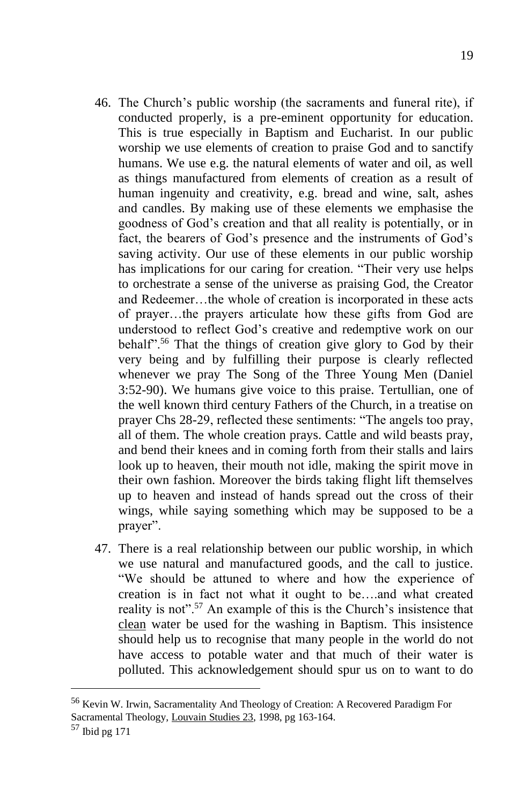- 46. The Church's public worship (the sacraments and funeral rite), if conducted properly, is a pre-eminent opportunity for education. This is true especially in Baptism and Eucharist. In our public worship we use elements of creation to praise God and to sanctify humans. We use e.g. the natural elements of water and oil, as well as things manufactured from elements of creation as a result of human ingenuity and creativity, e.g. bread and wine, salt, ashes and candles. By making use of these elements we emphasise the goodness of God's creation and that all reality is potentially, or in fact, the bearers of God's presence and the instruments of God's saving activity. Our use of these elements in our public worship has implications for our caring for creation. "Their very use helps to orchestrate a sense of the universe as praising God, the Creator and Redeemer…the whole of creation is incorporated in these acts of prayer…the prayers articulate how these gifts from God are understood to reflect God's creative and redemptive work on our behalf".<sup>56</sup> That the things of creation give glory to God by their very being and by fulfilling their purpose is clearly reflected whenever we pray The Song of the Three Young Men (Daniel 3:52-90). We humans give voice to this praise. Tertullian, one of the well known third century Fathers of the Church, in a treatise on prayer Chs 28-29, reflected these sentiments: "The angels too pray, all of them. The whole creation prays. Cattle and wild beasts pray,
	- and bend their knees and in coming forth from their stalls and lairs look up to heaven, their mouth not idle, making the spirit move in their own fashion. Moreover the birds taking flight lift themselves up to heaven and instead of hands spread out the cross of their wings, while saying something which may be supposed to be a prayer".
- 47. There is a real relationship between our public worship, in which we use natural and manufactured goods, and the call to justice. "We should be attuned to where and how the experience of creation is in fact not what it ought to be….and what created reality is not".<sup>57</sup> An example of this is the Church's insistence that clean water be used for the washing in Baptism. This insistence should help us to recognise that many people in the world do not have access to potable water and that much of their water is polluted. This acknowledgement should spur us on to want to do

<sup>56</sup> Kevin W. Irwin, Sacramentality And Theology of Creation: A Recovered Paradigm For Sacramental Theology, Louvain Studies 23, 1998, pg 163-164.

<sup>57</sup> Ibid pg 171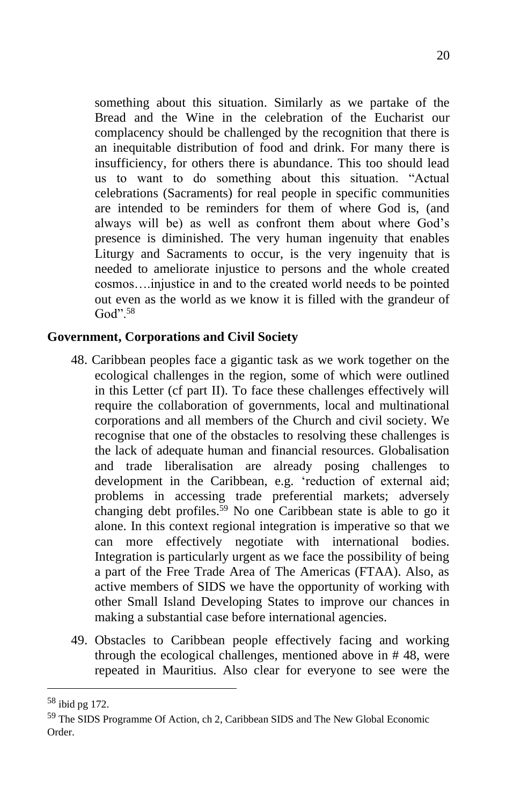something about this situation. Similarly as we partake of the Bread and the Wine in the celebration of the Eucharist our complacency should be challenged by the recognition that there is an inequitable distribution of food and drink. For many there is insufficiency, for others there is abundance. This too should lead us to want to do something about this situation. "Actual celebrations (Sacraments) for real people in specific communities are intended to be reminders for them of where God is, (and always will be) as well as confront them about where God's presence is diminished. The very human ingenuity that enables Liturgy and Sacraments to occur, is the very ingenuity that is needed to ameliorate injustice to persons and the whole created cosmos….injustice in and to the created world needs to be pointed out even as the world as we know it is filled with the grandeur of  $God$ ".<sup>58</sup>

## **Government, Corporations and Civil Society**

- 48. Caribbean peoples face a gigantic task as we work together on the ecological challenges in the region, some of which were outlined in this Letter (cf part II). To face these challenges effectively will require the collaboration of governments, local and multinational corporations and all members of the Church and civil society. We recognise that one of the obstacles to resolving these challenges is the lack of adequate human and financial resources. Globalisation and trade liberalisation are already posing challenges to development in the Caribbean, e.g. 'reduction of external aid; problems in accessing trade preferential markets; adversely changing debt profiles.<sup>59</sup> No one Caribbean state is able to go it alone. In this context regional integration is imperative so that we can more effectively negotiate with international bodies. Integration is particularly urgent as we face the possibility of being a part of the Free Trade Area of The Americas (FTAA). Also, as active members of SIDS we have the opportunity of working with other Small Island Developing States to improve our chances in making a substantial case before international agencies.
- 49. Obstacles to Caribbean people effectively facing and working through the ecological challenges, mentioned above in # 48, were repeated in Mauritius. Also clear for everyone to see were the

<sup>58</sup> ibid pg 172.

<sup>59</sup> The SIDS Programme Of Action, ch 2, Caribbean SIDS and The New Global Economic Order.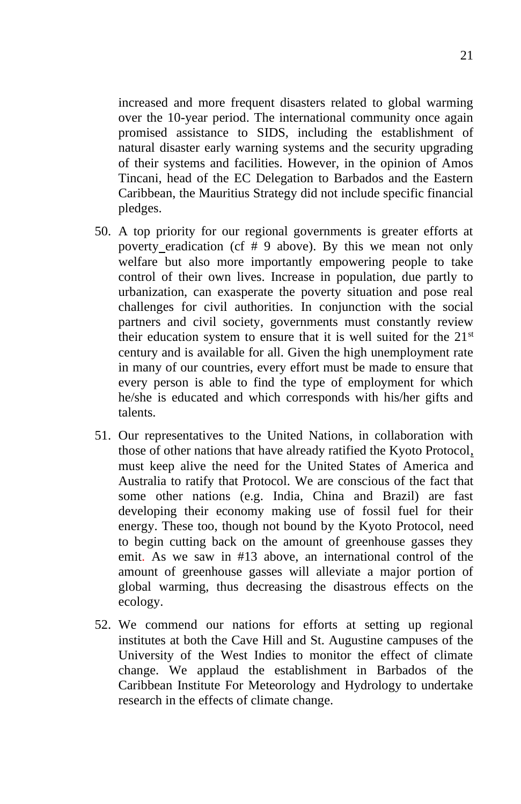increased and more frequent disasters related to global warming over the 10-year period. The international community once again promised assistance to SIDS, including the establishment of natural disaster early warning systems and the security upgrading of their systems and facilities. However, in the opinion of Amos Tincani, head of the EC Delegation to Barbados and the Eastern Caribbean, the Mauritius Strategy did not include specific financial pledges.

- 50. A top priority for our regional governments is greater efforts at poverty eradication (cf # 9 above). By this we mean not only welfare but also more importantly empowering people to take control of their own lives. Increase in population, due partly to urbanization, can exasperate the poverty situation and pose real challenges for civil authorities. In conjunction with the social partners and civil society, governments must constantly review their education system to ensure that it is well suited for the  $21<sup>st</sup>$ century and is available for all. Given the high unemployment rate in many of our countries, every effort must be made to ensure that every person is able to find the type of employment for which he/she is educated and which corresponds with his/her gifts and talents.
- 51. Our representatives to the United Nations, in collaboration with those of other nations that have already ratified the Kyoto Protocol, must keep alive the need for the United States of America and Australia to ratify that Protocol. We are conscious of the fact that some other nations (e.g. India, China and Brazil) are fast developing their economy making use of fossil fuel for their energy. These too, though not bound by the Kyoto Protocol, need to begin cutting back on the amount of greenhouse gasses they emit. As we saw in #13 above, an international control of the amount of greenhouse gasses will alleviate a major portion of global warming, thus decreasing the disastrous effects on the ecology.
- 52. We commend our nations for efforts at setting up regional institutes at both the Cave Hill and St. Augustine campuses of the University of the West Indies to monitor the effect of climate change. We applaud the establishment in Barbados of the Caribbean Institute For Meteorology and Hydrology to undertake research in the effects of climate change.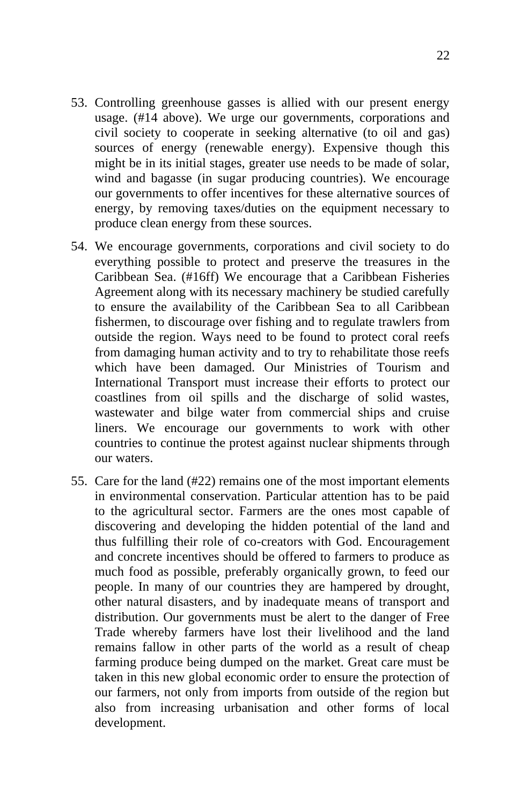- 53. Controlling greenhouse gasses is allied with our present energy usage. (#14 above). We urge our governments, corporations and civil society to cooperate in seeking alternative (to oil and gas) sources of energy (renewable energy). Expensive though this might be in its initial stages, greater use needs to be made of solar, wind and bagasse (in sugar producing countries). We encourage our governments to offer incentives for these alternative sources of energy, by removing taxes/duties on the equipment necessary to produce clean energy from these sources.
- 54. We encourage governments, corporations and civil society to do everything possible to protect and preserve the treasures in the Caribbean Sea. (#16ff) We encourage that a Caribbean Fisheries Agreement along with its necessary machinery be studied carefully to ensure the availability of the Caribbean Sea to all Caribbean fishermen, to discourage over fishing and to regulate trawlers from outside the region. Ways need to be found to protect coral reefs from damaging human activity and to try to rehabilitate those reefs which have been damaged. Our Ministries of Tourism and International Transport must increase their efforts to protect our coastlines from oil spills and the discharge of solid wastes, wastewater and bilge water from commercial ships and cruise liners. We encourage our governments to work with other countries to continue the protest against nuclear shipments through our waters.
- 55. Care for the land (#22) remains one of the most important elements in environmental conservation. Particular attention has to be paid to the agricultural sector. Farmers are the ones most capable of discovering and developing the hidden potential of the land and thus fulfilling their role of co-creators with God. Encouragement and concrete incentives should be offered to farmers to produce as much food as possible, preferably organically grown, to feed our people. In many of our countries they are hampered by drought, other natural disasters, and by inadequate means of transport and distribution. Our governments must be alert to the danger of Free Trade whereby farmers have lost their livelihood and the land remains fallow in other parts of the world as a result of cheap farming produce being dumped on the market. Great care must be taken in this new global economic order to ensure the protection of our farmers, not only from imports from outside of the region but also from increasing urbanisation and other forms of local development.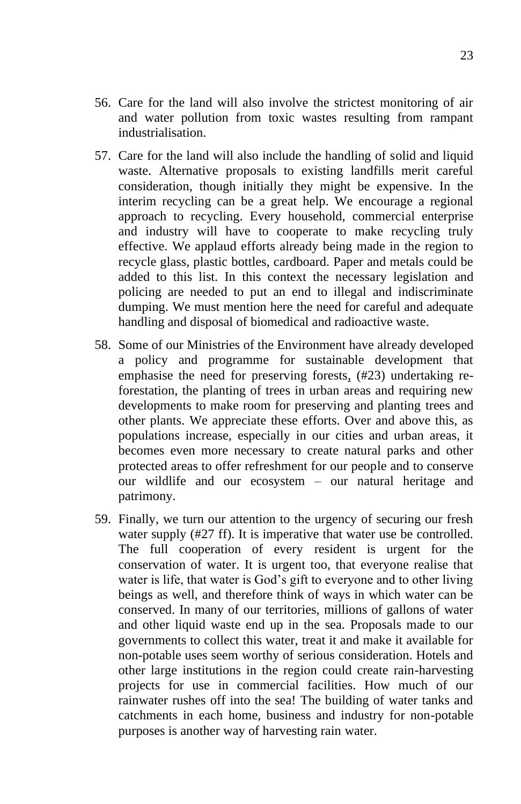- 56. Care for the land will also involve the strictest monitoring of air and water pollution from toxic wastes resulting from rampant industrialisation.
- 57. Care for the land will also include the handling of solid and liquid waste. Alternative proposals to existing landfills merit careful consideration, though initially they might be expensive. In the interim recycling can be a great help. We encourage a regional approach to recycling. Every household, commercial enterprise and industry will have to cooperate to make recycling truly effective. We applaud efforts already being made in the region to recycle glass, plastic bottles, cardboard. Paper and metals could be added to this list. In this context the necessary legislation and policing are needed to put an end to illegal and indiscriminate dumping. We must mention here the need for careful and adequate handling and disposal of biomedical and radioactive waste.
- 58. Some of our Ministries of the Environment have already developed a policy and programme for sustainable development that emphasise the need for preserving forests, (#23) undertaking reforestation, the planting of trees in urban areas and requiring new developments to make room for preserving and planting trees and other plants. We appreciate these efforts. Over and above this, as populations increase, especially in our cities and urban areas, it becomes even more necessary to create natural parks and other protected areas to offer refreshment for our people and to conserve our wildlife and our ecosystem – our natural heritage and patrimony.
- 59. Finally, we turn our attention to the urgency of securing our fresh water supply (#27 ff). It is imperative that water use be controlled. The full cooperation of every resident is urgent for the conservation of water. It is urgent too, that everyone realise that water is life, that water is God's gift to everyone and to other living beings as well, and therefore think of ways in which water can be conserved. In many of our territories, millions of gallons of water and other liquid waste end up in the sea. Proposals made to our governments to collect this water, treat it and make it available for non-potable uses seem worthy of serious consideration. Hotels and other large institutions in the region could create rain-harvesting projects for use in commercial facilities. How much of our rainwater rushes off into the sea! The building of water tanks and catchments in each home, business and industry for non-potable purposes is another way of harvesting rain water.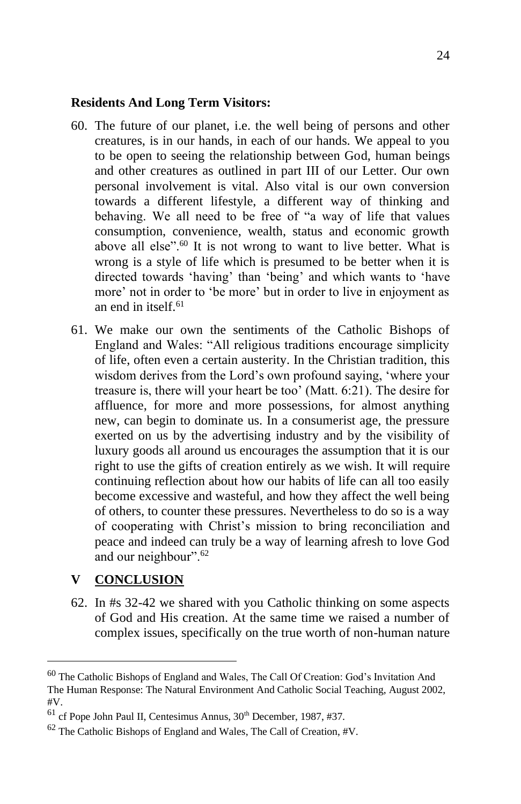#### **Residents And Long Term Visitors:**

- 60. The future of our planet, i.e. the well being of persons and other creatures, is in our hands, in each of our hands. We appeal to you to be open to seeing the relationship between God, human beings and other creatures as outlined in part III of our Letter. Our own personal involvement is vital. Also vital is our own conversion towards a different lifestyle, a different way of thinking and behaving. We all need to be free of "a way of life that values consumption, convenience, wealth, status and economic growth above all else".<sup>60</sup> It is not wrong to want to live better. What is wrong is a style of life which is presumed to be better when it is directed towards 'having' than 'being' and which wants to 'have more' not in order to 'be more' but in order to live in enjoyment as an end in itself $61$
- 61. We make our own the sentiments of the Catholic Bishops of England and Wales: "All religious traditions encourage simplicity of life, often even a certain austerity. In the Christian tradition, this wisdom derives from the Lord's own profound saying, 'where your treasure is, there will your heart be too' (Matt. 6:21). The desire for affluence, for more and more possessions, for almost anything new, can begin to dominate us. In a consumerist age, the pressure exerted on us by the advertising industry and by the visibility of luxury goods all around us encourages the assumption that it is our right to use the gifts of creation entirely as we wish. It will require continuing reflection about how our habits of life can all too easily become excessive and wasteful, and how they affect the well being of others, to counter these pressures. Nevertheless to do so is a way of cooperating with Christ's mission to bring reconciliation and peace and indeed can truly be a way of learning afresh to love God and our neighbour".<sup>62</sup>

## **V CONCLUSION**

62. In #s 32-42 we shared with you Catholic thinking on some aspects of God and His creation. At the same time we raised a number of complex issues, specifically on the true worth of non-human nature

<sup>60</sup> The Catholic Bishops of England and Wales, The Call Of Creation: God's Invitation And The Human Response: The Natural Environment And Catholic Social Teaching, August 2002, #V.

 $61$  cf Pope John Paul II, Centesimus Annus,  $30<sup>th</sup>$  December, 1987, #37.

<sup>62</sup> The Catholic Bishops of England and Wales, The Call of Creation, #V.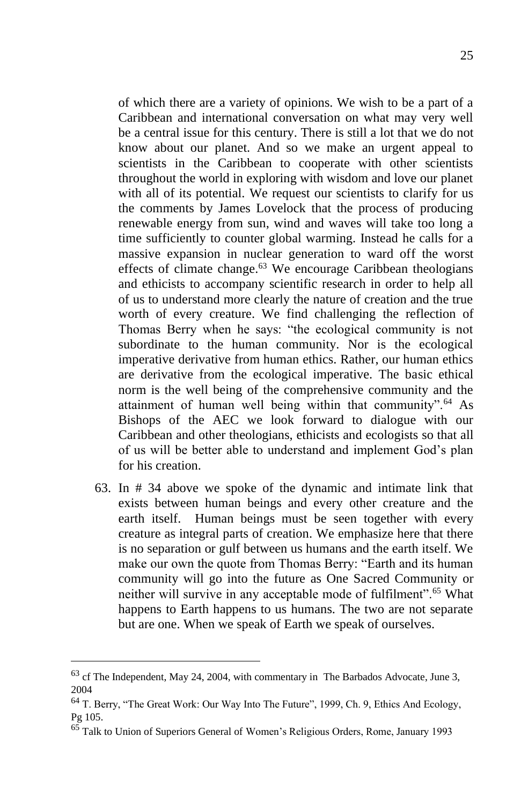of which there are a variety of opinions. We wish to be a part of a Caribbean and international conversation on what may very well be a central issue for this century. There is still a lot that we do not know about our planet. And so we make an urgent appeal to scientists in the Caribbean to cooperate with other scientists throughout the world in exploring with wisdom and love our planet with all of its potential. We request our scientists to clarify for us the comments by James Lovelock that the process of producing renewable energy from sun, wind and waves will take too long a time sufficiently to counter global warming. Instead he calls for a massive expansion in nuclear generation to ward off the worst effects of climate change.<sup>63</sup> We encourage Caribbean theologians and ethicists to accompany scientific research in order to help all of us to understand more clearly the nature of creation and the true worth of every creature. We find challenging the reflection of Thomas Berry when he says: "the ecological community is not subordinate to the human community. Nor is the ecological imperative derivative from human ethics. Rather, our human ethics are derivative from the ecological imperative. The basic ethical norm is the well being of the comprehensive community and the attainment of human well being within that community".<sup>64</sup> As Bishops of the AEC we look forward to dialogue with our Caribbean and other theologians, ethicists and ecologists so that all of us will be better able to understand and implement God's plan for his creation.

63. In # 34 above we spoke of the dynamic and intimate link that exists between human beings and every other creature and the earth itself. Human beings must be seen together with every creature as integral parts of creation. We emphasize here that there is no separation or gulf between us humans and the earth itself. We make our own the quote from Thomas Berry: "Earth and its human community will go into the future as One Sacred Community or neither will survive in any acceptable mode of fulfilment".<sup>65</sup> What happens to Earth happens to us humans. The two are not separate but are one. When we speak of Earth we speak of ourselves.

 $63$  cf The Independent, May 24, 2004, with commentary in The Barbados Advocate, June 3, 2004

<sup>64</sup> T. Berry, "The Great Work: Our Way Into The Future", 1999, Ch. 9, Ethics And Ecology, Pg 105.

<sup>65</sup> Talk to Union of Superiors General of Women's Religious Orders, Rome, January 1993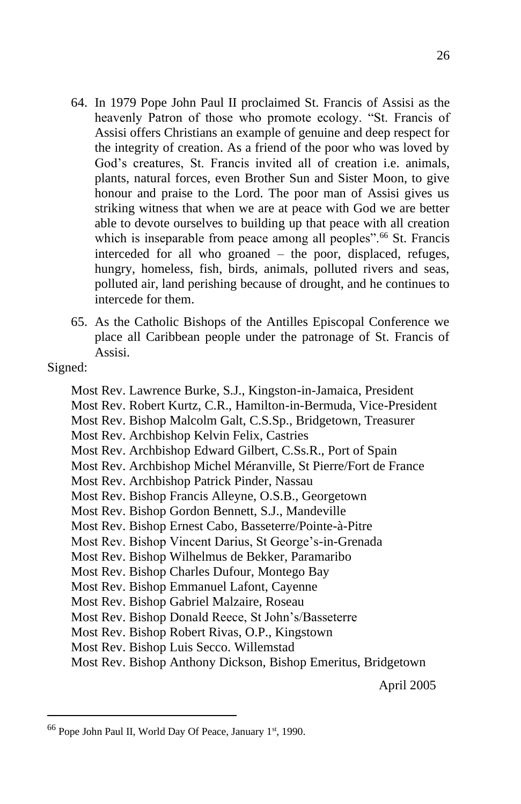- 64. In 1979 Pope John Paul II proclaimed St. Francis of Assisi as the heavenly Patron of those who promote ecology. "St. Francis of Assisi offers Christians an example of genuine and deep respect for the integrity of creation. As a friend of the poor who was loved by God's creatures, St. Francis invited all of creation i.e. animals, plants, natural forces, even Brother Sun and Sister Moon, to give honour and praise to the Lord. The poor man of Assisi gives us striking witness that when we are at peace with God we are better able to devote ourselves to building up that peace with all creation which is inseparable from peace among all peoples".<sup>66</sup> St. Francis interceded for all who groaned – the poor, displaced, refuges, hungry, homeless, fish, birds, animals, polluted rivers and seas, polluted air, land perishing because of drought, and he continues to intercede for them.
- 65. As the Catholic Bishops of the Antilles Episcopal Conference we place all Caribbean people under the patronage of St. Francis of Assisi.
- Signed:
	- Most Rev. Lawrence Burke, S.J., Kingston-in-Jamaica, President
	- Most Rev. Robert Kurtz, C.R., Hamilton-in-Bermuda, Vice-President
	- Most Rev. Bishop Malcolm Galt, C.S.Sp., Bridgetown, Treasurer
	- Most Rev. Archbishop Kelvin Felix, Castries
	- Most Rev. Archbishop Edward Gilbert, C.Ss.R., Port of Spain
	- Most Rev. Archbishop Michel Méranville, St Pierre/Fort de France
	- Most Rev. Archbishop Patrick Pinder, Nassau
	- Most Rev. Bishop Francis Alleyne, O.S.B., Georgetown
	- Most Rev. Bishop Gordon Bennett, S.J., Mandeville
	- Most Rev. Bishop Ernest Cabo, Basseterre/Pointe-à-Pitre
	- Most Rev. Bishop Vincent Darius, St George's-in-Grenada
	- Most Rev. Bishop Wilhelmus de Bekker, Paramaribo
	- Most Rev. Bishop Charles Dufour, Montego Bay
	- Most Rev. Bishop Emmanuel Lafont, Cayenne
	- Most Rev. Bishop Gabriel Malzaire, Roseau
	- Most Rev. Bishop Donald Reece, St John's/Basseterre
	- Most Rev. Bishop Robert Rivas, O.P., Kingstown
	- Most Rev. Bishop Luis Secco. Willemstad
	- Most Rev. Bishop Anthony Dickson, Bishop Emeritus, Bridgetown

April 2005

<sup>26</sup>

 $66$  Pope John Paul II, World Day Of Peace, January  $1<sup>st</sup>$ , 1990.